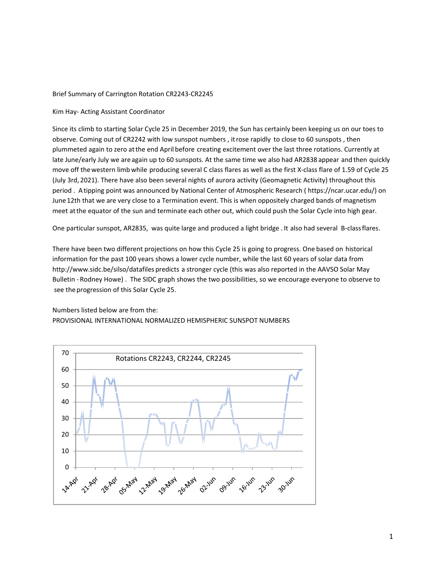### Brief Summary of Carrington Rotation CR2243‐CR2245

### Kim Hay‐ Acting Assistant Coordinator

Since its climb to starting Solar Cycle 25 in December 2019, the Sun has certainly been keeping us on our toes to observe. Coming out of CR2242 with low sunspot numbers , itrose rapidly to close to 60 sunspots , then plummeted again to zero atthe end April before creating excitement over the last three rotations. Currently at late June/early July we are again up to 60 sunspots. At the same time we also had AR2838 appear and then quickly move off the western limb while producing several C class flares as well as the first X-class flare of 1.59 of Cycle 25 (July 3rd, 2021). There have also been several nights of aurora activity (Geomagnetic Activity) throughout this period . Atipping point was announced by National Center of Atmospheric Research ( https://ncar.ucar.edu/) on June12th that we are very close to a Termination event. This is when oppositely charged bands of magnetism meet atthe equator of the sun and terminate each other out, which could push the Solar Cycle into high gear.

One particular sunspot, AR2835, was quite large and produced a light bridge . It also had several B-class flares.

There have been two different projections on how this Cycle 25 is going to progress. One based on historical information for the past 100 years shows a lower cycle number, while the last 60 years of solar data from http://www.sidc.be/silso/datafiles predicts a stronger cycle (this was also reported in the AAVSO Solar May Bulletin ‐Rodney Howe) . The SIDC graph shows the two possibilities, so we encourage everyone to observe to see the progression of this Solar Cycle 25.

## Numbers listed below are from the:

## PROVISIONAL INTERNATIONAL NORMALIZED HEMISPHERIC SUNSPOT NUMBERS

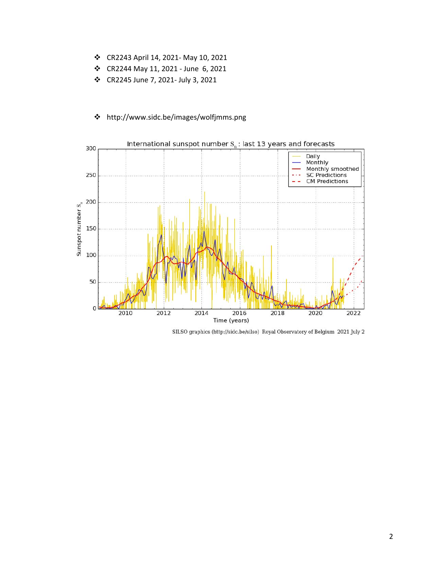- CR2243 April 14, 2021‐ May 10, 2021
- CR2244 May 11, 2021 ‐ June 6, 2021
- CR2245 June 7, 2021‐ July 3, 2021



# http://www.sidc.be/images/wolfjmms.png

SILSO graphics (http://sidc.be/silso) Royal Observatory of Belgium 2021 July 2